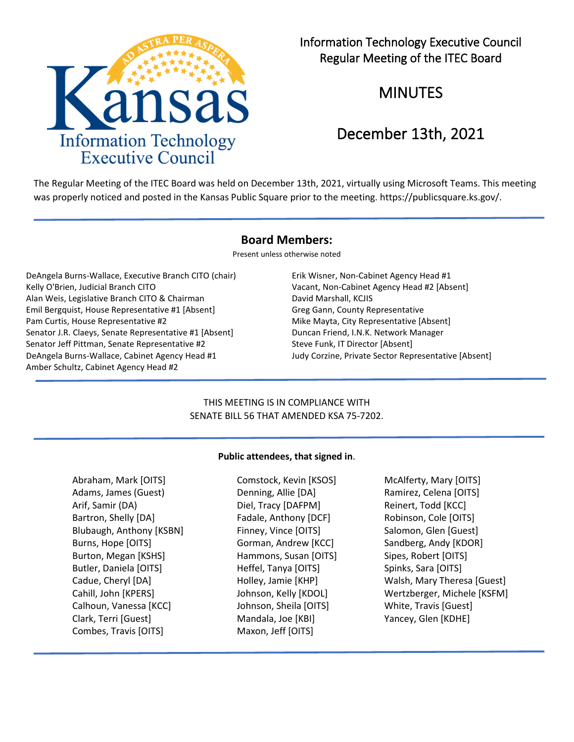

Information Technology Executive Council Regular Meeting of the ITEC Board

MINUTES

# December 13th, 2021

The Regular Meeting of the ITEC Board was held on December 13th, 2021, virtually using Microsoft Teams. This meeting was properly noticed and posted in the Kansas Public Square prior to the meeting. https://publicsquare.ks.gov/.

# **Board Members:**

Present unless otherwise noted

DeAngela Burns-Wallace, Executive Branch CITO (chair) Erik Wisner, Non-Cabinet Agency Head #1 Kelly O'Brien, Judicial Branch CITO **Vacant, Non-Cabinet Agency Head #2** [Absent] Alan Weis, Legislative Branch CITO & Chairman David Marshall, KCJIS Emil Bergquist, House Representative #1 [Absent] Greg Gann, County Representative Pam Curtis, House Representative #2 Mike Mayta, City Representative [Absent] Senator J.R. Claeys, Senate Representative #1 [Absent] Duncan Friend, I.N.K. Network Manager Senator Jeff Pittman, Senate Representative #2 Steve Funk, IT Director [Absent] DeAngela Burns-Wallace, Cabinet Agency Head #1 Judy Corzine, Private Sector Representative [Absent] Amber Schultz, Cabinet Agency Head #2

# THIS MEETING IS IN COMPLIANCE WITH SENATE BILL 56 THAT AMENDED KSA 75-7202.

# **Public attendees, that signed in**.

Abraham, Mark [OITS] Comstock, Kevin [KSOS] McAlferty, Mary [OITS] Adams, James (Guest) **Denning, Allie [DA]** Ramirez, Celena [OITS] Arif, Samir (DA) Diel, Tracy [DAFPM] Reinert, Todd [KCC] Bartron, Shelly [DA] Fadale, Anthony [DCF] Robinson, Cole [OITS] Blubaugh, Anthony [KSBN] Finney, Vince [OITS] Salomon, Glen [Guest] Burns, Hope [OITS] Gorman, Andrew [KCC] Sandberg, Andy [KDOR] Burton, Megan [KSHS] **Hammons, Susan [OITS]** Sipes, Robert [OITS] Butler, Daniela [OITS] The Heffel, Tanya [OITS] Spinks, Sara [OITS] Calhoun, Vanessa [KCC] Johnson, Sheila [OITS] White, Travis [Guest] Clark, Terri [Guest] Mandala, Joe [KBI] Yancey, Glen [KDHE] Combes, Travis [OITS] Maxon, Jeff [OITS]

Cadue, Cheryl [DA] Holley, Jamie [KHP] Walsh, Mary Theresa [Guest] Cahill, John [KPERS] Johnson, Kelly [KDOL] Wertzberger, Michele [KSFM]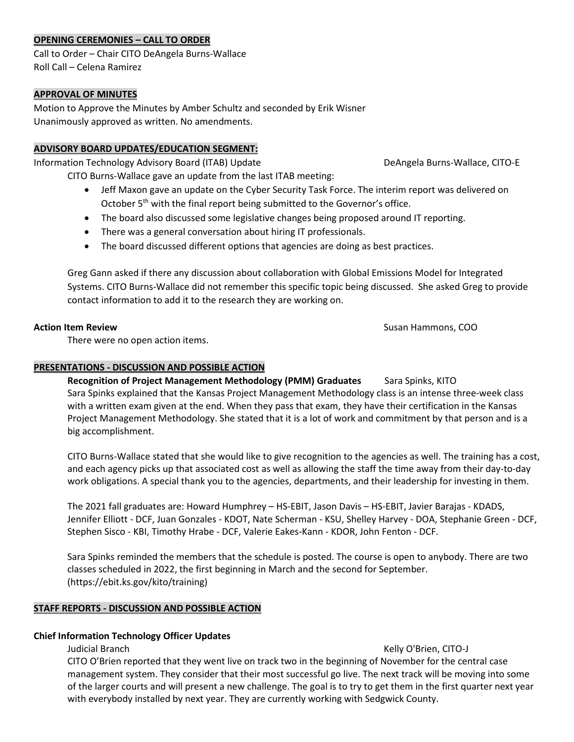# **OPENING CEREMONIES – CALL TO ORDER**

Call to Order – Chair CITO DeAngela Burns-Wallace Roll Call – Celena Ramirez

### **APPROVAL OF MINUTES**

Motion to Approve the Minutes by Amber Schultz and seconded by Erik Wisner Unanimously approved as written. No amendments.

#### **ADVISORY BOARD UPDATES/EDUCATION SEGMENT:**

Information Technology Advisory Board (ITAB) Update DeAngela Burns-Wallace, CITO-E

CITO Burns-Wallace gave an update from the last ITAB meeting:

- Jeff Maxon gave an update on the Cyber Security Task Force. The interim report was delivered on October 5<sup>th</sup> with the final report being submitted to the Governor's office.
- The board also discussed some legislative changes being proposed around IT reporting.
- There was a general conversation about hiring IT professionals.
- The board discussed different options that agencies are doing as best practices.

Greg Gann asked if there any discussion about collaboration with Global Emissions Model for Integrated Systems. CITO Burns-Wallace did not remember this specific topic being discussed. She asked Greg to provide contact information to add it to the research they are working on.

**Action Item Review Susan Hammons, COO** 

There were no open action items.

# **PRESENTATIONS - DISCUSSION AND POSSIBLE ACTION**

**Recognition of Project Management Methodology (PMM) Graduates** Sara Spinks, KITO Sara Spinks explained that the Kansas Project Management Methodology class is an intense three-week class with a written exam given at the end. When they pass that exam, they have their certification in the Kansas Project Management Methodology. She stated that it is a lot of work and commitment by that person and is a big accomplishment.

CITO Burns-Wallace stated that she would like to give recognition to the agencies as well. The training has a cost, and each agency picks up that associated cost as well as allowing the staff the time away from their day-to-day work obligations. A special thank you to the agencies, departments, and their leadership for investing in them.

The 2021 fall graduates are: Howard Humphrey – HS-EBIT, Jason Davis – HS-EBIT, Javier Barajas - KDADS, Jennifer Elliott - DCF, Juan Gonzales - KDOT, Nate Scherman - KSU, Shelley Harvey - DOA, Stephanie Green - DCF, Stephen Sisco - KBI, Timothy Hrabe - DCF, Valerie Eakes-Kann - KDOR, John Fenton - DCF.

Sara Spinks reminded the members that the schedule is posted. The course is open to anybody. There are two classes scheduled in 2022, the first beginning in March and the second for September. (https://ebit.ks.gov/kito/training)

# **STAFF REPORTS - DISCUSSION AND POSSIBLE ACTION**

# **Chief Information Technology Officer Updates**

Judicial Branch Kelly O'Brien, CITO-J

CITO O'Brien reported that they went live on track two in the beginning of November for the central case management system. They consider that their most successful go live. The next track will be moving into some of the larger courts and will present a new challenge. The goal is to try to get them in the first quarter next year with everybody installed by next year. They are currently working with Sedgwick County.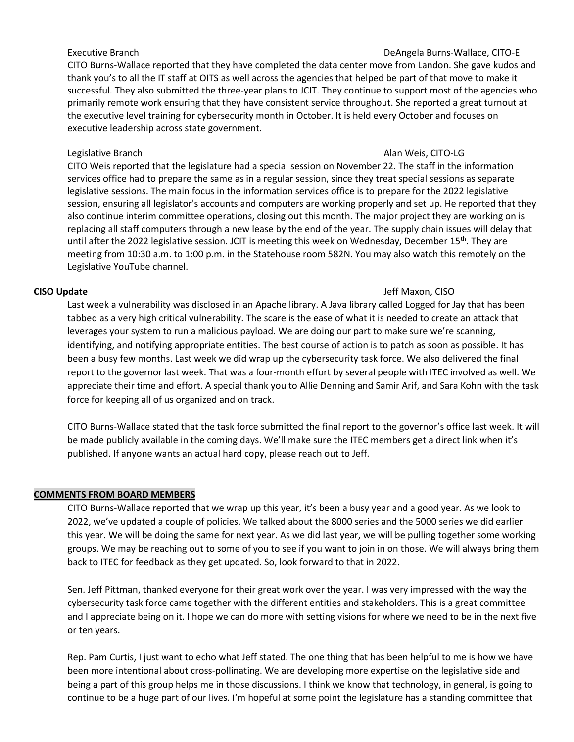CITO Burns-Wallace reported that they have completed the data center move from Landon. She gave kudos and thank you's to all the IT staff at OITS as well across the agencies that helped be part of that move to make it successful. They also submitted the three-year plans to JCIT. They continue to support most of the agencies who primarily remote work ensuring that they have consistent service throughout. She reported a great turnout at the executive level training for cybersecurity month in October. It is held every October and focuses on executive leadership across state government.

### Legislative Branch **Alan Weiser Community** CITO-LG Alan Weis, CITO-LG

CITO Weis reported that the legislature had a special session on November 22. The staff in the information services office had to prepare the same as in a regular session, since they treat special sessions as separate legislative sessions. The main focus in the information services office is to prepare for the 2022 legislative session, ensuring all legislator's accounts and computers are working properly and set up. He reported that they also continue interim committee operations, closing out this month. The major project they are working on is replacing all staff computers through a new lease by the end of the year. The supply chain issues will delay that until after the 2022 legislative session. JCIT is meeting this week on Wednesday, December 15<sup>th</sup>. They are meeting from 10:30 a.m. to 1:00 p.m. in the Statehouse room 582N. You may also watch this remotely on the Legislative YouTube channel.

Last week a vulnerability was disclosed in an Apache library. A Java library called Logged for Jay that has been tabbed as a very high critical vulnerability. The scare is the ease of what it is needed to create an attack that leverages your system to run a malicious payload. We are doing our part to make sure we're scanning, identifying, and notifying appropriate entities. The best course of action is to patch as soon as possible. It has been a busy few months. Last week we did wrap up the cybersecurity task force. We also delivered the final report to the governor last week. That was a four-month effort by several people with ITEC involved as well. We appreciate their time and effort. A special thank you to Allie Denning and Samir Arif, and Sara Kohn with the task force for keeping all of us organized and on track.

CITO Burns-Wallace stated that the task force submitted the final report to the governor's office last week. It will be made publicly available in the coming days. We'll make sure the ITEC members get a direct link when it's published. If anyone wants an actual hard copy, please reach out to Jeff.

# **COMMENTS FROM BOARD MEMBERS**

CITO Burns-Wallace reported that we wrap up this year, it's been a busy year and a good year. As we look to 2022, we've updated a couple of policies. We talked about the 8000 series and the 5000 series we did earlier this year. We will be doing the same for next year. As we did last year, we will be pulling together some working groups. We may be reaching out to some of you to see if you want to join in on those. We will always bring them back to ITEC for feedback as they get updated. So, look forward to that in 2022.

Sen. Jeff Pittman, thanked everyone for their great work over the year. I was very impressed with the way the cybersecurity task force came together with the different entities and stakeholders. This is a great committee and I appreciate being on it. I hope we can do more with setting visions for where we need to be in the next five or ten years.

Rep. Pam Curtis, I just want to echo what Jeff stated. The one thing that has been helpful to me is how we have been more intentional about cross-pollinating. We are developing more expertise on the legislative side and being a part of this group helps me in those discussions. I think we know that technology, in general, is going to continue to be a huge part of our lives. I'm hopeful at some point the legislature has a standing committee that

### Executive Branch DeAngela Burns-Wallace, CITO-E

# **CISO Update** Jeff Maxon, CISO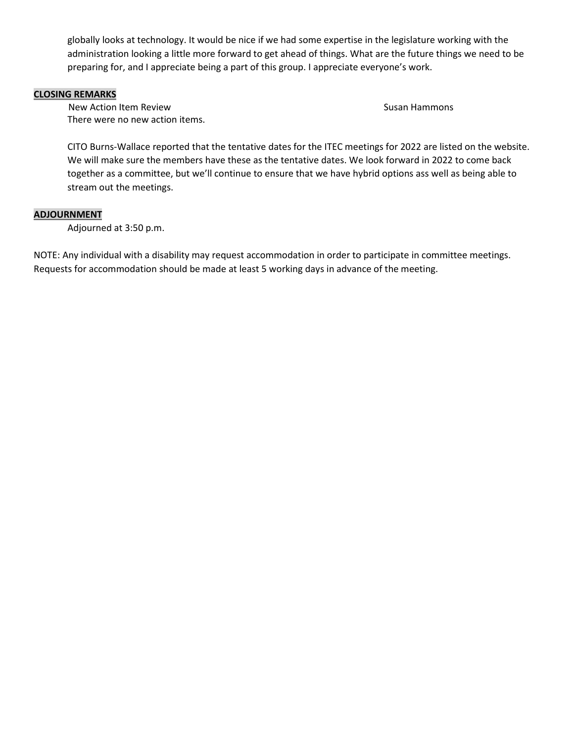globally looks at technology. It would be nice if we had some expertise in the legislature working with the administration looking a little more forward to get ahead of things. What are the future things we need to be preparing for, and I appreciate being a part of this group. I appreciate everyone's work.

### **CLOSING REMARKS**

New Action Item Review Susan Hammons and Action Item Review Susan Hammons Susan Hammons There were no new action items.

CITO Burns-Wallace reported that the tentative dates for the ITEC meetings for 2022 are listed on the website. We will make sure the members have these as the tentative dates. We look forward in 2022 to come back together as a committee, but we'll continue to ensure that we have hybrid options ass well as being able to stream out the meetings.

### **ADJOURNMENT**

Adjourned at 3:50 p.m.

NOTE: Any individual with a disability may request accommodation in order to participate in committee meetings. Requests for accommodation should be made at least 5 working days in advance of the meeting.